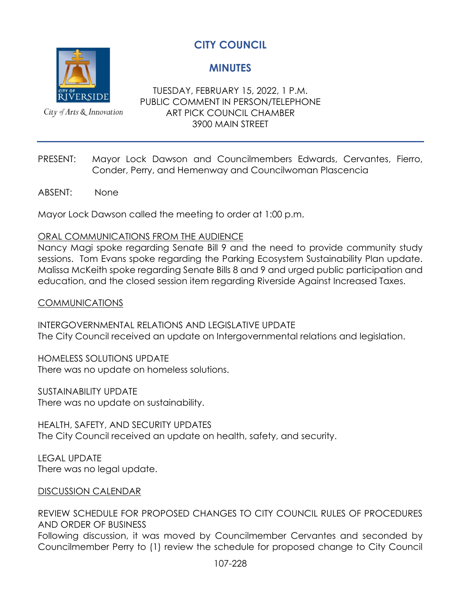**MINUTES**



City of Arts & Innovation

TUESDAY, FEBRUARY 15, 2022, 1 P.M. PUBLIC COMMENT IN PERSON/TELEPHONE ART PICK COUNCIL CHAMBER 3900 MAIN STREET

- PRESENT: Mayor Lock Dawson and Councilmembers Edwards, Cervantes, Fierro, Conder, Perry, and Hemenway and Councilwoman Plascencia
- ABSENT: None

Mayor Lock Dawson called the meeting to order at 1:00 p.m.

#### ORAL COMMUNICATIONS FROM THE AUDIENCE

Nancy Magi spoke regarding Senate Bill 9 and the need to provide community study sessions. Tom Evans spoke regarding the Parking Ecosystem Sustainability Plan update. Malissa McKeith spoke regarding Senate Bills 8 and 9 and urged public participation and education, and the closed session item regarding Riverside Against Increased Taxes.

#### COMMUNICATIONS

INTERGOVERNMENTAL RELATIONS AND LEGISLATIVE UPDATE The City Council received an update on Intergovernmental relations and legislation.

HOMELESS SOLUTIONS UPDATE There was no update on homeless solutions.

SUSTAINABILITY UPDATE There was no update on sustainability.

HEALTH, SAFETY, AND SECURITY UPDATES The City Council received an update on health, safety, and security.

LEGAL UPDATE There was no legal update.

#### DISCUSSION CALENDAR

REVIEW SCHEDULE FOR PROPOSED CHANGES TO CITY COUNCIL RULES OF PROCEDURES AND ORDER OF BUSINESS Following discussion, it was moved by Councilmember Cervantes and seconded by Councilmember Perry to (1) review the schedule for proposed change to City Council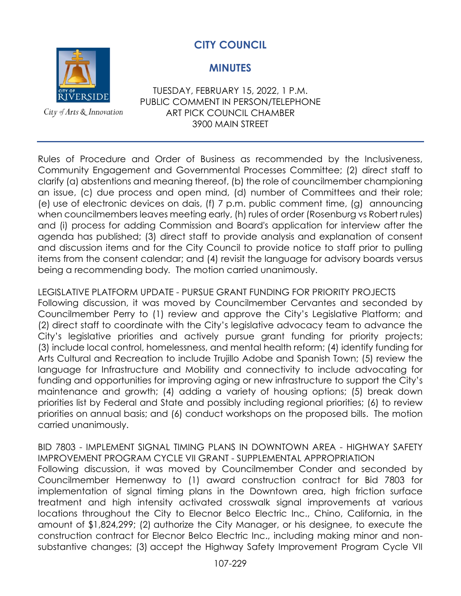

**CITY COUNCIL**

## **MINUTES**

TUESDAY, FEBRUARY 15, 2022, 1 P.M. PUBLIC COMMENT IN PERSON/TELEPHONE ART PICK COUNCIL CHAMBER 3900 MAIN STREET

Rules of Procedure and Order of Business as recommended by the Inclusiveness, Community Engagement and Governmental Processes Committee; (2) direct staff to clarify (a) abstentions and meaning thereof, (b) the role of councilmember championing an issue, (c) due process and open mind, (d) number of Committees and their role; (e) use of electronic devices on dais, (f) 7 p.m. public comment time, (g) announcing when councilmembers leaves meeting early, (h) rules of order (Rosenburg vs Robert rules) and (i) process for adding Commission and Board's application for interview after the agenda has published; (3) direct staff to provide analysis and explanation of consent and discussion items and for the City Council to provide notice to staff prior to pulling items from the consent calendar; and (4) revisit the language for advisory boards versus being a recommending body*.* The motion carried unanimously.

## LEGISLATIVE PLATFORM UPDATE - PURSUE GRANT FUNDING FOR PRIORITY PROJECTS

Following discussion, it was moved by Councilmember Cervantes and seconded by Councilmember Perry to (1) review and approve the City's Legislative Platform; and (2) direct staff to coordinate with the City's legislative advocacy team to advance the City's legislative priorities and actively pursue grant funding for priority projects; (3) include local control, homelessness, and mental health reform; (4) identify funding for Arts Cultural and Recreation to include Trujillo Adobe and Spanish Town; (5) review the language for Infrastructure and Mobility and connectivity to include advocating for funding and opportunities for improving aging or new infrastructure to support the City's maintenance and growth; (4) adding a variety of housing options; (5) break down priorities list by Federal and State and possibly including regional priorities; (6) to review priorities on annual basis; and (6) conduct workshops on the proposed bills. The motion carried unanimously.

BID 7803 - IMPLEMENT SIGNAL TIMING PLANS IN DOWNTOWN AREA - HIGHWAY SAFETY IMPROVEMENT PROGRAM CYCLE VII GRANT - SUPPLEMENTAL APPROPRIATION Following discussion, it was moved by Councilmember Conder and seconded by Councilmember Hemenway to (1) award construction contract for Bid 7803 for implementation of signal timing plans in the Downtown area, high friction surface treatment and high intensity activated crosswalk signal improvements at various locations throughout the City to Elecnor Belco Electric Inc., Chino, California, in the amount of \$1,824,299; (2) authorize the City Manager, or his designee, to execute the construction contract for Elecnor Belco Electric Inc., including making minor and nonsubstantive changes; (3) accept the Highway Safety Improvement Program Cycle VII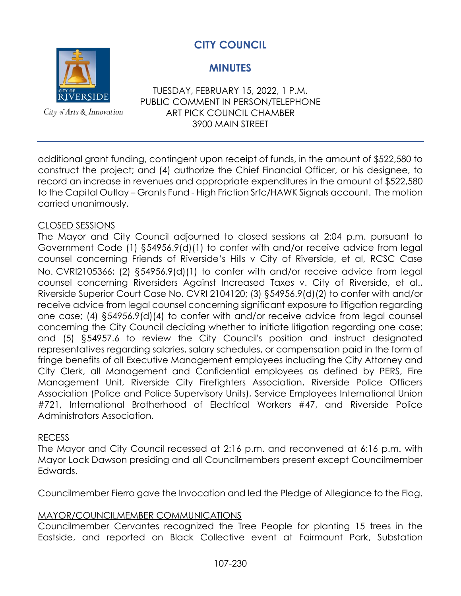## **CITY COUNCIL**

## **MINUTES**

TUESDAY, FEBRUARY 15, 2022, 1 P.M. PUBLIC COMMENT IN PERSON/TELEPHONE ART PICK COUNCIL CHAMBER 3900 MAIN STREET

additional grant funding, contingent upon receipt of funds, in the amount of \$522,580 to construct the project; and (4) authorize the Chief Financial Officer, or his designee, to record an increase in revenues and appropriate expenditures in the amount of \$522,580 to the Capital Outlay – Grants Fund - High Friction Srfc/HAWK Signals account. The motion carried unanimously.

## CLOSED SESSIONS

The Mayor and City Council adjourned to closed sessions at 2:04 p.m. pursuant to Government Code (1) §54956.9(d)(1) to confer with and/or receive advice from legal counsel concerning Friends of Riverside's Hills v City of Riverside, et al, RCSC Case No. CVRI2105366; (2) §54956.9(d)(1) to confer with and/or receive advice from legal counsel concerning Riversiders Against Increased Taxes v. City of Riverside, et al., Riverside Superior Court Case No. CVRI 2104120; (3) §54956.9(d)(2) to confer with and/or receive advice from legal counsel concerning significant exposure to litigation regarding one case; (4) §54956.9(d)(4) to confer with and/or receive advice from legal counsel concerning the City Council deciding whether to initiate litigation regarding one case; and (5) §54957.6 to review the City Council's position and instruct designated representatives regarding salaries, salary schedules, or compensation paid in the form of fringe benefits of all Executive Management employees including the City Attorney and City Clerk, all Management and Confidential employees as defined by PERS, Fire Management Unit, Riverside City Firefighters Association, Riverside Police Officers Association (Police and Police Supervisory Units), Service Employees International Union #721, International Brotherhood of Electrical Workers #47, and Riverside Police Administrators Association.

#### RECESS

The Mayor and City Council recessed at 2:16 p.m. and reconvened at 6:16 p.m. with Mayor Lock Dawson presiding and all Councilmembers present except Councilmember Edwards.

Councilmember Fierro gave the Invocation and led the Pledge of Allegiance to the Flag.

#### MAYOR/COUNCILMEMBER COMMUNICATIONS

Councilmember Cervantes recognized the Tree People for planting 15 trees in the Eastside, and reported on Black Collective event at Fairmount Park, Substation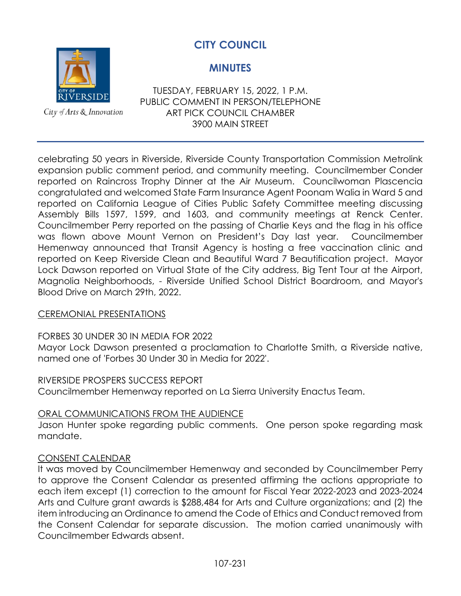

**CITY COUNCIL**

## **MINUTES**

TUESDAY, FEBRUARY 15, 2022, 1 P.M. PUBLIC COMMENT IN PERSON/TELEPHONE ART PICK COUNCIL CHAMBER 3900 MAIN STREET

celebrating 50 years in Riverside, Riverside County Transportation Commission Metrolink expansion public comment period, and community meeting. Councilmember Conder reported on Raincross Trophy Dinner at the Air Museum. Councilwoman Plascencia congratulated and welcomed State Farm Insurance Agent Poonam Walia in Ward 5 and reported on California League of Cities Public Safety Committee meeting discussing Assembly Bills 1597, 1599, and 1603, and community meetings at Renck Center. Councilmember Perry reported on the passing of Charlie Keys and the flag in his office was flown above Mount Vernon on President's Day last year. Councilmember Hemenway announced that Transit Agency is hosting a free vaccination clinic and reported on Keep Riverside Clean and Beautiful Ward 7 Beautification project. Mayor Lock Dawson reported on Virtual State of the City address, Big Tent Tour at the Airport, Magnolia Neighborhoods, - Riverside Unified School District Boardroom, and Mayor's Blood Drive on March 29th, 2022.

## CEREMONIAL PRESENTATIONS

## FORBES 30 UNDER 30 IN MEDIA FOR 2022

Mayor Lock Dawson presented a proclamation to Charlotte Smith, a Riverside native, named one of 'Forbes 30 Under 30 in Media for 2022'.

#### RIVERSIDE PROSPERS SUCCESS REPORT

Councilmember Hemenway reported on La Sierra University Enactus Team.

#### ORAL COMMUNICATIONS FROM THE AUDIENCE

Jason Hunter spoke regarding public comments. One person spoke regarding mask mandate.

#### CONSENT CALENDAR

It was moved by Councilmember Hemenway and seconded by Councilmember Perry to approve the Consent Calendar as presented affirming the actions appropriate to each item except (1) correction to the amount for Fiscal Year 2022-2023 and 2023-2024 Arts and Culture grant awards is \$288,484 for Arts and Culture organizations; and (2) the item introducing an Ordinance to amend the Code of Ethics and Conduct removed from the Consent Calendar for separate discussion. The motion carried unanimously with Councilmember Edwards absent.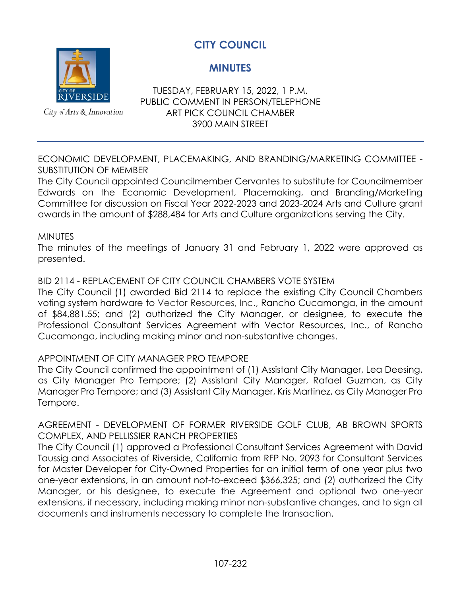

City of Arts & Innovation

## **MINUTES**

TUESDAY, FEBRUARY 15, 2022, 1 P.M. PUBLIC COMMENT IN PERSON/TELEPHONE ART PICK COUNCIL CHAMBER 3900 MAIN STREET

ECONOMIC DEVELOPMENT, PLACEMAKING, AND BRANDING/MARKETING COMMITTEE - SUBSTITUTION OF MEMBER

The City Council appointed Councilmember Cervantes to substitute for Councilmember Edwards on the Economic Development, Placemaking, and Branding/Marketing Committee for discussion on Fiscal Year 2022-2023 and 2023-2024 Arts and Culture grant awards in the amount of \$288,484 for Arts and Culture organizations serving the City.

#### **MINUTES**

The minutes of the meetings of January 31 and February 1, 2022 were approved as presented.

#### BID 2114 - REPLACEMENT OF CITY COUNCIL CHAMBERS VOTE SYSTEM

The City Council (1) awarded Bid 2114 to replace the existing City Council Chambers voting system hardware to Vector Resources, Inc., Rancho Cucamonga, in the amount of \$84,881.55; and (2) authorized the City Manager, or designee, to execute the Professional Consultant Services Agreement with Vector Resources, Inc., of Rancho Cucamonga, including making minor and non-substantive changes.

#### APPOINTMENT OF CITY MANAGER PRO TEMPORE

The City Council confirmed the appointment of (1) Assistant City Manager, Lea Deesing, as City Manager Pro Tempore; (2) Assistant City Manager, Rafael Guzman, as City Manager Pro Tempore; and (3) Assistant City Manager, Kris Martinez, as City Manager Pro Tempore.

AGREEMENT - DEVELOPMENT OF FORMER RIVERSIDE GOLF CLUB, AB BROWN SPORTS COMPLEX, AND PELLISSIER RANCH PROPERTIES

The City Council (1) approved a Professional Consultant Services Agreement with David Taussig and Associates of Riverside, California from RFP No. 2093 for Consultant Services for Master Developer for City-Owned Properties for an initial term of one year plus two one-year extensions, in an amount not-to-exceed \$366,325; and (2) authorized the City Manager, or his designee, to execute the Agreement and optional two one-year extensions, if necessary, including making minor non-substantive changes, and to sign all documents and instruments necessary to complete the transaction.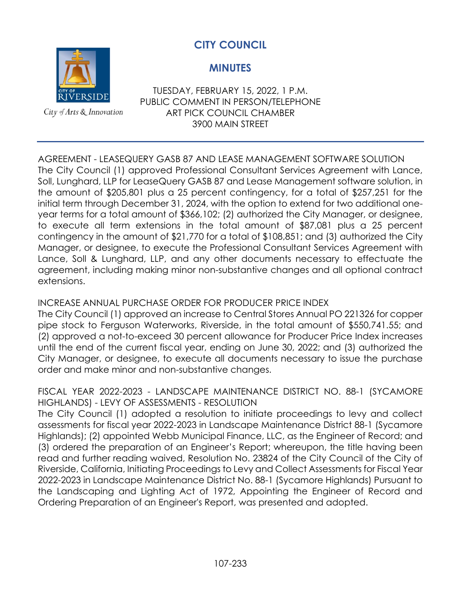

## **MINUTES**

City of Arts & Innovation

TUESDAY, FEBRUARY 15, 2022, 1 P.M. PUBLIC COMMENT IN PERSON/TELEPHONE ART PICK COUNCIL CHAMBER 3900 MAIN STREET

## AGREEMENT - LEASEQUERY GASB 87 AND LEASE MANAGEMENT SOFTWARE SOLUTION

The City Council (1) approved Professional Consultant Services Agreement with Lance, Soll, Lunghard, LLP for LeaseQuery GASB 87 and Lease Management software solution, in the amount of \$205,801 plus a 25 percent contingency, for a total of \$257,251 for the initial term through December 31, 2024, with the option to extend for two additional oneyear terms for a total amount of \$366,102; (2) authorized the City Manager, or designee, to execute all term extensions in the total amount of \$87,081 plus a 25 percent contingency in the amount of \$21,770 for a total of \$108,851; and (3) authorized the City Manager, or designee, to execute the Professional Consultant Services Agreement with Lance, Soll & Lunghard, LLP, and any other documents necessary to effectuate the agreement, including making minor non-substantive changes and all optional contract extensions.

## INCREASE ANNUAL PURCHASE ORDER FOR PRODUCER PRICE INDEX

The City Council (1) approved an increase to Central Stores Annual PO 221326 for copper pipe stock to Ferguson Waterworks, Riverside, in the total amount of \$550,741.55; and (2) approved a not-to-exceed 30 percent allowance for Producer Price Index increases until the end of the current fiscal year, ending on June 30, 2022; and (3) authorized the City Manager, or designee, to execute all documents necessary to issue the purchase order and make minor and non-substantive changes.

### FISCAL YEAR 2022-2023 - LANDSCAPE MAINTENANCE DISTRICT NO. 88-1 (SYCAMORE HIGHLANDS) - LEVY OF ASSESSMENTS - RESOLUTION

The City Council (1) adopted a resolution to initiate proceedings to levy and collect assessments for fiscal year 2022-2023 in Landscape Maintenance District 88-1 (Sycamore Highlands); (2) appointed Webb Municipal Finance, LLC, as the Engineer of Record; and (3) ordered the preparation of an Engineer's Report; whereupon, the title having been read and further reading waived, Resolution No. 23824 of the City Council of the City of Riverside, California, Initiating Proceedings to Levy and Collect Assessments for Fiscal Year 2022-2023 in Landscape Maintenance District No. 88-1 (Sycamore Highlands) Pursuant to the Landscaping and Lighting Act of 1972, Appointing the Engineer of Record and Ordering Preparation of an Engineer's Report, was presented and adopted.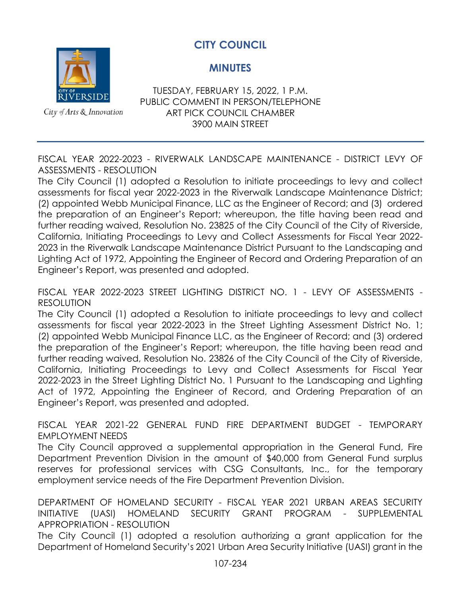**MINUTES**



City of Arts & Innovation

TUESDAY, FEBRUARY 15, 2022, 1 P.M. PUBLIC COMMENT IN PERSON/TELEPHONE ART PICK COUNCIL CHAMBER 3900 MAIN STREET

FISCAL YEAR 2022-2023 - RIVERWALK LANDSCAPE MAINTENANCE - DISTRICT LEVY OF ASSESSMENTS - RESOLUTION

The City Council (1) adopted a Resolution to initiate proceedings to levy and collect assessments for fiscal year 2022-2023 in the Riverwalk Landscape Maintenance District; (2) appointed Webb Municipal Finance, LLC as the Engineer of Record; and (3) ordered the preparation of an Engineer's Report; whereupon, the title having been read and further reading waived, Resolution No. 23825 of the City Council of the City of Riverside, California, Initiating Proceedings to Levy and Collect Assessments for Fiscal Year 2022- 2023 in the Riverwalk Landscape Maintenance District Pursuant to the Landscaping and Lighting Act of 1972, Appointing the Engineer of Record and Ordering Preparation of an Engineer's Report, was presented and adopted.

FISCAL YEAR 2022-2023 STREET LIGHTING DISTRICT NO. 1 - LEVY OF ASSESSMENTS - RESOLUTION

The City Council (1) adopted a Resolution to initiate proceedings to levy and collect assessments for fiscal year 2022-2023 in the Street Lighting Assessment District No. 1; (2) appointed Webb Municipal Finance LLC, as the Engineer of Record; and (3) ordered the preparation of the Engineer's Report; whereupon, the title having been read and further reading waived, Resolution No. 23826 of the City Council of the City of Riverside, California, Initiating Proceedings to Levy and Collect Assessments for Fiscal Year 2022-2023 in the Street Lighting District No. 1 Pursuant to the Landscaping and Lighting Act of 1972, Appointing the Engineer of Record, and Ordering Preparation of an Engineer's Report, was presented and adopted.

FISCAL YEAR 2021-22 GENERAL FUND FIRE DEPARTMENT BUDGET - TEMPORARY EMPLOYMENT NEEDS

The City Council approved a supplemental appropriation in the General Fund, Fire Department Prevention Division in the amount of \$40,000 from General Fund surplus reserves for professional services with CSG Consultants, Inc., for the temporary employment service needs of the Fire Department Prevention Division.

DEPARTMENT OF HOMELAND SECURITY - FISCAL YEAR 2021 URBAN AREAS SECURITY INITIATIVE (UASI) HOMELAND SECURITY GRANT PROGRAM - SUPPLEMENTAL APPROPRIATION - RESOLUTION

The City Council (1) adopted a resolution authorizing a grant application for the Department of Homeland Security's 2021 Urban Area Security Initiative (UASI) grant in the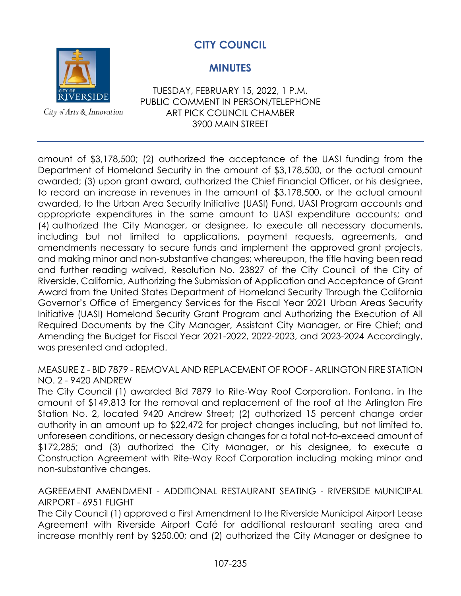

**CITY COUNCIL**

## **MINUTES**

TUESDAY, FEBRUARY 15, 2022, 1 P.M. PUBLIC COMMENT IN PERSON/TELEPHONE ART PICK COUNCIL CHAMBER 3900 MAIN STREET

amount of \$3,178,500; (2) authorized the acceptance of the UASI funding from the Department of Homeland Security in the amount of \$3,178,500, or the actual amount awarded; (3) upon grant award, authorized the Chief Financial Officer, or his designee, to record an increase in revenues in the amount of \$3,178,500, or the actual amount awarded, to the Urban Area Security Initiative (UASI) Fund, UASI Program accounts and appropriate expenditures in the same amount to UASI expenditure accounts; and (4) authorized the City Manager, or designee, to execute all necessary documents, including but not limited to applications, payment requests, agreements, and amendments necessary to secure funds and implement the approved grant projects, and making minor and non-substantive changes; whereupon, the title having been read and further reading waived, Resolution No. 23827 of the City Council of the City of Riverside, California, Authorizing the Submission of Application and Acceptance of Grant Award from the United States Department of Homeland Security Through the California Governor's Office of Emergency Services for the Fiscal Year 2021 Urban Areas Security Initiative (UASI) Homeland Security Grant Program and Authorizing the Execution of All Required Documents by the City Manager, Assistant City Manager, or Fire Chief; and Amending the Budget for Fiscal Year 2021-2022, 2022-2023, and 2023-2024 Accordingly, was presented and adopted.

MEASURE Z - BID 7879 - REMOVAL AND REPLACEMENT OF ROOF - ARLINGTON FIRE STATION NO. 2 - 9420 ANDREW

The City Council (1) awarded Bid 7879 to Rite-Way Roof Corporation, Fontana, in the amount of \$149,813 for the removal and replacement of the roof at the Arlington Fire Station No. 2, located 9420 Andrew Street; (2) authorized 15 percent change order authority in an amount up to \$22,472 for project changes including, but not limited to, unforeseen conditions, or necessary design changes for a total not-to-exceed amount of \$172,285; and (3) authorized the City Manager, or his designee, to execute a Construction Agreement with Rite-Way Roof Corporation including making minor and non-substantive changes.

AGREEMENT AMENDMENT - ADDITIONAL RESTAURANT SEATING - RIVERSIDE MUNICIPAL AIRPORT - 6951 FLIGHT

The City Council (1) approved a First Amendment to the Riverside Municipal Airport Lease Agreement with Riverside Airport Café for additional restaurant seating area and increase monthly rent by \$250.00; and (2) authorized the City Manager or designee to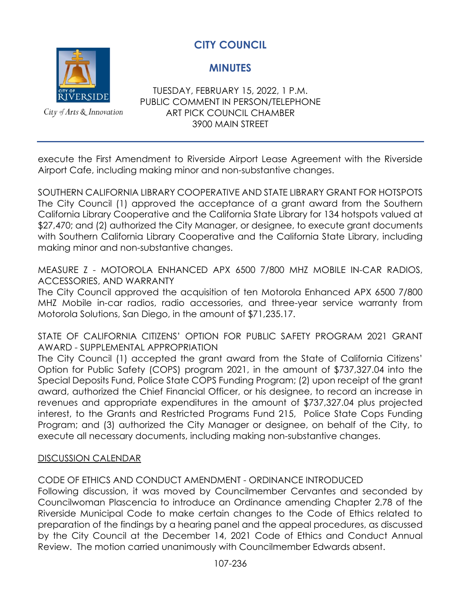

City of Arts & Innovation

**MINUTES**

TUESDAY, FEBRUARY 15, 2022, 1 P.M. PUBLIC COMMENT IN PERSON/TELEPHONE ART PICK COUNCIL CHAMBER 3900 MAIN STREET

execute the First Amendment to Riverside Airport Lease Agreement with the Riverside Airport Cafe, including making minor and non-substantive changes.

SOUTHERN CALIFORNIA LIBRARY COOPERATIVE AND STATE LIBRARY GRANT FOR HOTSPOTS The City Council (1) approved the acceptance of a grant award from the Southern California Library Cooperative and the California State Library for 134 hotspots valued at \$27,470; and (2) authorized the City Manager, or designee, to execute grant documents with Southern California Library Cooperative and the California State Library, including making minor and non-substantive changes.

MEASURE Z - MOTOROLA ENHANCED APX 6500 7/800 MHZ MOBILE IN-CAR RADIOS, ACCESSORIES, AND WARRANTY

The City Council approved the acquisition of ten Motorola Enhanced APX 6500 7/800 MHZ Mobile in-car radios, radio accessories, and three-year service warranty from Motorola Solutions, San Diego, in the amount of \$71,235.17.

STATE OF CALIFORNIA CITIZENS' OPTION FOR PUBLIC SAFETY PROGRAM 2021 GRANT AWARD - SUPPLEMENTAL APPROPRIATION

The City Council (1) accepted the grant award from the State of California Citizens' Option for Public Safety (COPS) program 2021, in the amount of \$737,327.04 into the Special Deposits Fund, Police State COPS Funding Program; (2) upon receipt of the grant award, authorized the Chief Financial Officer, or his designee, to record an increase in revenues and appropriate expenditures in the amount of \$737,327.04 plus projected interest, to the Grants and Restricted Programs Fund 215, Police State Cops Funding Program; and (3) authorized the City Manager or designee, on behalf of the City, to execute all necessary documents, including making non-substantive changes.

#### DISCUSSION CALENDAR

CODE OF ETHICS AND CONDUCT AMENDMENT - ORDINANCE INTRODUCED

Following discussion, it was moved by Councilmember Cervantes and seconded by Councilwoman Plascencia to introduce an Ordinance amending Chapter 2.78 of the Riverside Municipal Code to make certain changes to the Code of Ethics related to preparation of the findings by a hearing panel and the appeal procedures, as discussed by the City Council at the December 14, 2021 Code of Ethics and Conduct Annual Review. The motion carried unanimously with Councilmember Edwards absent.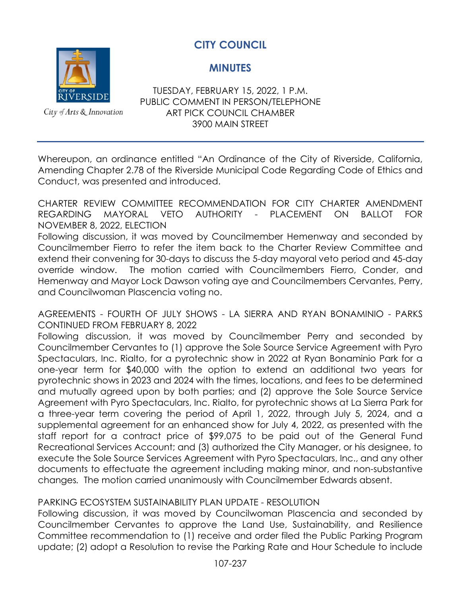

City of Arts & Innovation

**MINUTES**

TUESDAY, FEBRUARY 15, 2022, 1 P.M. PUBLIC COMMENT IN PERSON/TELEPHONE ART PICK COUNCIL CHAMBER 3900 MAIN STREET

Whereupon, an ordinance entitled "An Ordinance of the City of Riverside, California, Amending Chapter 2.78 of the Riverside Municipal Code Regarding Code of Ethics and Conduct, was presented and introduced.

CHARTER REVIEW COMMITTEE RECOMMENDATION FOR CITY CHARTER AMENDMENT REGARDING MAYORAL VETO AUTHORITY - PLACEMENT ON BALLOT FOR NOVEMBER 8, 2022, ELECTION

Following discussion, it was moved by Councilmember Hemenway and seconded by Councilmember Fierro to refer the item back to the Charter Review Committee and extend their convening for 30-days to discuss the 5-day mayoral veto period and 45-day override window. The motion carried with Councilmembers Fierro, Conder, and Hemenway and Mayor Lock Dawson voting aye and Councilmembers Cervantes, Perry, and Councilwoman Plascencia voting no.

AGREEMENTS - FOURTH OF JULY SHOWS - LA SIERRA AND RYAN BONAMINIO - PARKS CONTINUED FROM FEBRUARY 8, 2022

Following discussion, it was moved by Councilmember Perry and seconded by Councilmember Cervantes to (1) approve the Sole Source Service Agreement with Pyro Spectaculars, Inc. Rialto, for a pyrotechnic show in 2022 at Ryan Bonaminio Park for a one-year term for \$40,000 with the option to extend an additional two years for pyrotechnic shows in 2023 and 2024 with the times, locations, and fees to be determined and mutually agreed upon by both parties; and (2) approve the Sole Source Service Agreement with Pyro Spectaculars, Inc. Rialto, for pyrotechnic shows at La Sierra Park for a three-year term covering the period of April 1, 2022, through July 5, 2024, and a supplemental agreement for an enhanced show for July 4, 2022, as presented with the staff report for a contract price of \$99,075 to be paid out of the General Fund Recreational Services Account; and (3) authorized the City Manager, or his designee, to execute the Sole Source Services Agreement with Pyro Spectaculars, Inc., and any other documents to effectuate the agreement including making minor, and non-substantive changes*.* The motion carried unanimously with Councilmember Edwards absent.

## PARKING ECOSYSTEM SUSTAINABILITY PLAN UPDATE - RESOLUTION

Following discussion, it was moved by Councilwoman Plascencia and seconded by Councilmember Cervantes to approve the Land Use, Sustainability, and Resilience Committee recommendation to (1) receive and order filed the Public Parking Program update; (2) adopt a Resolution to revise the Parking Rate and Hour Schedule to include